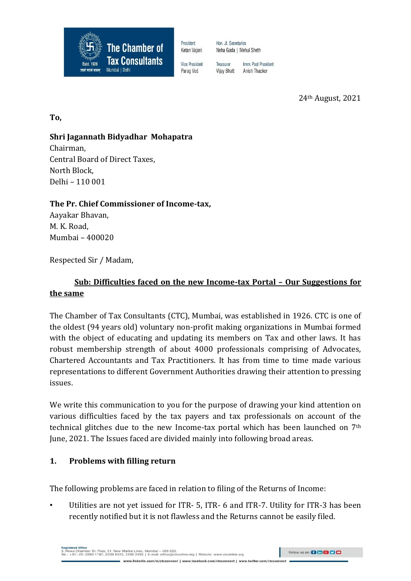

President Ketan Vajani

**Vice President** 

Parag Ved

Hon, Jt. Secretaries Neha Gada | Mehul Sheth

Imm. Past President Treasurer Vijay Bhatt Anish Thacker

24th August, 2021

**To,**

### **Shri Jagannath Bidyadhar Mohapatra**

Chairman, Central Board of Direct Taxes, North Block, Delhi – 110 001

### **The Pr. Chief Commissioner of Income-tax,**

Aayakar Bhavan, M. K. Road, Mumbai – 400020

Respected Sir / Madam,

# **Sub: Difficulties faced on the new Income-tax Portal – Our Suggestions for the same**

The Chamber of Tax Consultants (CTC), Mumbai, was established in 1926. CTC is one of the oldest (94 years old) voluntary non-profit making organizations in Mumbai formed with the object of educating and updating its members on Tax and other laws. It has robust membership strength of about 4000 professionals comprising of Advocates, Chartered Accountants and Tax Practitioners. It has from time to time made various representations to different Government Authorities drawing their attention to pressing issues.

We write this communication to you for the purpose of drawing your kind attention on various difficulties faced by the tax payers and tax professionals on account of the technical glitches due to the new Income-tax portal which has been launched on 7th June, 2021. The Issues faced are divided mainly into following broad areas.

### **1. Problems with filling return**

The following problems are faced in relation to filing of the Returns of Income:

Utilities are not yet issued for ITR- 5, ITR- 6 and ITR-7. Utility for ITR-3 has been recently notified but it is not flawless and the Returns cannot be easily filed.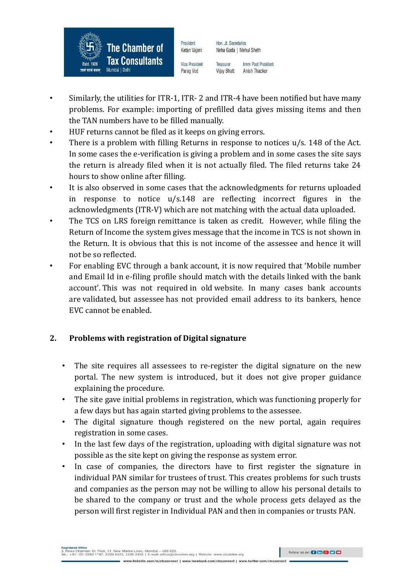

President Ketan Vajani **Vice President** 

Neha Gada | Mehul Sheth

Hon. Jt. Secretaries

Parag Ved

- Imm. Past President Treasurer **Vijay Bhatt** Anish Thacker
- Similarly, the utilities for ITR-1, ITR- 2 and ITR-4 have been notified but have many problems. For example: importing of prefilled data gives missing items and then the TAN numbers have to be filled manually.
- HUF returns cannot be filed as it keeps on giving errors.
- There is a problem with filling Returns in response to notices u/s. 148 of the Act. In some cases the e-verification is giving a problem and in some cases the site says the return is already filed when it is not actually filed. The filed returns take 24 hours to show online after filling.
- It is also observed in some cases that the acknowledgments for returns uploaded in response to notice u/s.148 are reflecting incorrect figures in the acknowledgments (ITR-V) which are not matching with the actual data uploaded.
- The TCS on LRS foreign remittance is taken as credit. However, while filing the Return of Income the system gives message that the income in TCS is not shown in the Return. It is obvious that this is not income of the assessee and hence it will not be so reflected.
- For enabling EVC through a bank account, it is now required that 'Mobile number and Email Id in e-filing profile should match with the details linked with the bank account'. This was not required in old website. In many cases bank accounts are validated, but assessee has not provided email address to its bankers, hence EVC cannot be enabled.

# **2. Problems with registration of Digital signature**

- The site requires all assessees to re-register the digital signature on the new portal. The new system is introduced, but it does not give proper guidance explaining the procedure.
- The site gave initial problems in registration, which was functioning properly for a few days but has again started giving problems to the assessee.
- The digital signature though registered on the new portal, again requires registration in some cases.
- In the last few days of the registration, uploading with digital signature was not possible as the site kept on giving the response as system error.
- In case of companies, the directors have to first register the signature in individual PAN similar for trustees of trust. This creates problems for such trusts and companies as the person may not be willing to allow his personal details to be shared to the company or trust and the whole process gets delayed as the person will first register in Individual PAN and then in companies or trusts PAN.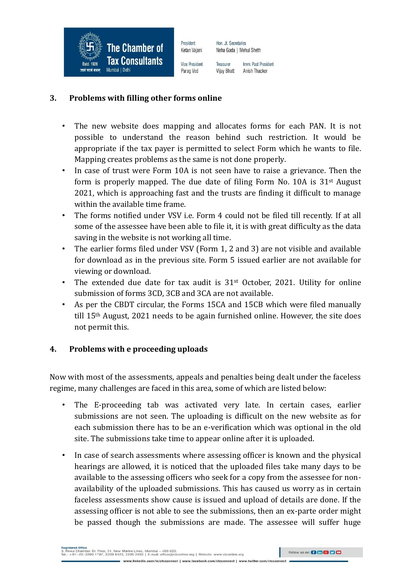

Hon. Jt. Secretaries Neha Gada | Mehul Sheth

**Vice President** Parag Ved

Ketan Vajani

President

Imm. Past President Treasurer **Vijay Bhatt** Anish Thacker

### **3. Problems with filling other forms online**

- The new website does mapping and allocates forms for each PAN. It is not possible to understand the reason behind such restriction. It would be appropriate if the tax payer is permitted to select Form which he wants to file. Mapping creates problems as the same is not done properly.
- In case of trust were Form 10A is not seen have to raise a grievance. Then the form is properly mapped. The due date of filing Form No. 10A is 31st August 2021, which is approaching fast and the trusts are finding it difficult to manage within the available time frame.
- The forms notified under VSV i.e. Form 4 could not be filed till recently. If at all some of the assessee have been able to file it, it is with great difficulty as the data saving in the website is not working all time.
- The earlier forms filed under VSV (Form 1, 2 and 3) are not visible and available for download as in the previous site. Form 5 issued earlier are not available for viewing or download.
- The extended due date for tax audit is 31<sup>st</sup> October, 2021. Utility for online submission of forms 3CD, 3CB and 3CA are not available.
- As per the CBDT circular, the Forms 15CA and 15CB which were filed manually till 15th August, 2021 needs to be again furnished online. However, the site does not permit this.

### **4. Problems with e proceeding uploads**

Now with most of the assessments, appeals and penalties being dealt under the faceless regime, many challenges are faced in this area, some of which are listed below:

- The E-proceeding tab was activated very late. In certain cases, earlier submissions are not seen. The uploading is difficult on the new website as for each submission there has to be an e-verification which was optional in the old site. The submissions take time to appear online after it is uploaded.
- In case of search assessments where assessing officer is known and the physical hearings are allowed, it is noticed that the uploaded files take many days to be available to the assessing officers who seek for a copy from the assessee for nonavailability of the uploaded submissions. This has caused us worry as in certain faceless assessments show cause is issued and upload of details are done. If the assessing officer is not able to see the submissions, then an ex-parte order might be passed though the submissions are made. The assessee will suffer huge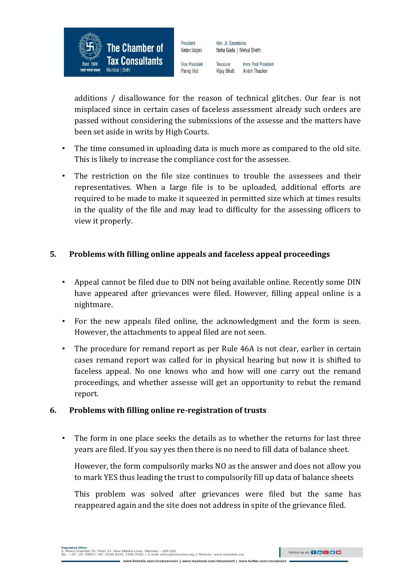

Ketan Vajani **Vice President** Parag Ved

President

Treasurer Imm. Past President **Vijay Bhatt** Anish Thacker

Neha Gada | Mehul Sheth

Hon. Jt. Secretaries

additions / disallowance for the reason of technical glitches. Our fear is not misplaced since in certain cases of faceless assessment already such orders are passed without considering the submissions of the assesse and the matters have been set aside in writs by High Courts.

- The time consumed in uploading data is much more as compared to the old site. This is likely to increase the compliance cost for the assessee.
- The restriction on the file size continues to trouble the assessees and their representatives. When a large file is to be uploaded, additional efforts are required to be made to make it squeezed in permitted size which at times results in the quality of the file and may lead to difficulty for the assessing officers to view it properly.

### **5. Problems with filling online appeals and faceless appeal proceedings**

- Appeal cannot be filed due to DIN not being available online. Recently some DIN have appeared after grievances were filed. However, filling appeal online is a nightmare.
- For the new appeals filed online, the acknowledgment and the form is seen. However, the attachments to appeal filed are not seen.
- The procedure for remand report as per Rule 46A is not clear, earlier in certain cases remand report was called for in physical hearing but now it is shifted to faceless appeal. No one knows who and how will one carry out the remand proceedings, and whether assesse will get an opportunity to rebut the remand report.

### **6. Problems with filling online re-registration of trusts**

• The form in one place seeks the details as to whether the returns for last three years are filed. If you say yes then there is no need to fill data of balance sheet.

However, the form compulsorily marks NO as the answer and does not allow you to mark YES thus leading the trust to compulsorily fill up data of balance sheets

This problem was solved after grievances were filed but the same has reappeared again and the site does not address in spite of the grievance filed.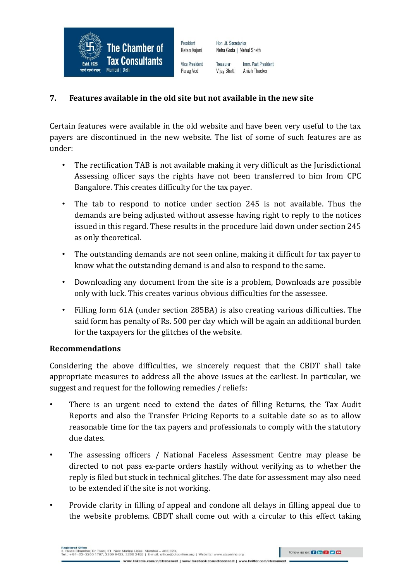

Imm. Past President Treasurer **Vijay Bhatt** Anish Thacker

Neha Gada | Mehul Sheth

Hon. Jt. Secretaries

#### **7. Features available in the old site but not available in the new site**

Certain features were available in the old website and have been very useful to the tax payers are discontinued in the new website. The list of some of such features are as under:

- The rectification TAB is not available making it very difficult as the Jurisdictional Assessing officer says the rights have not been transferred to him from CPC Bangalore. This creates difficulty for the tax payer.
- The tab to respond to notice under section 245 is not available. Thus the demands are being adjusted without assesse having right to reply to the notices issued in this regard. These results in the procedure laid down under section 245 as only theoretical.
- The outstanding demands are not seen online, making it difficult for tax payer to know what the outstanding demand is and also to respond to the same.
- Downloading any document from the site is a problem, Downloads are possible only with luck. This creates various obvious difficulties for the assessee.
- Filling form 61A (under section 285BA) is also creating various difficulties. The said form has penalty of Rs. 500 per day which will be again an additional burden for the taxpayers for the glitches of the website.

#### **Recommendations**

Considering the above difficulties, we sincerely request that the CBDT shall take appropriate measures to address all the above issues at the earliest. In particular, we suggest and request for the following remedies / reliefs:

- There is an urgent need to extend the dates of filling Returns, the Tax Audit Reports and also the Transfer Pricing Reports to a suitable date so as to allow reasonable time for the tax payers and professionals to comply with the statutory due dates.
- The assessing officers / National Faceless Assessment Centre may please be directed to not pass ex-parte orders hastily without verifying as to whether the reply is filed but stuck in technical glitches. The date for assessment may also need to be extended if the site is not working.
- Provide clarity in filling of appeal and condone all delays in filling appeal due to the website problems. CBDT shall come out with a circular to this effect taking